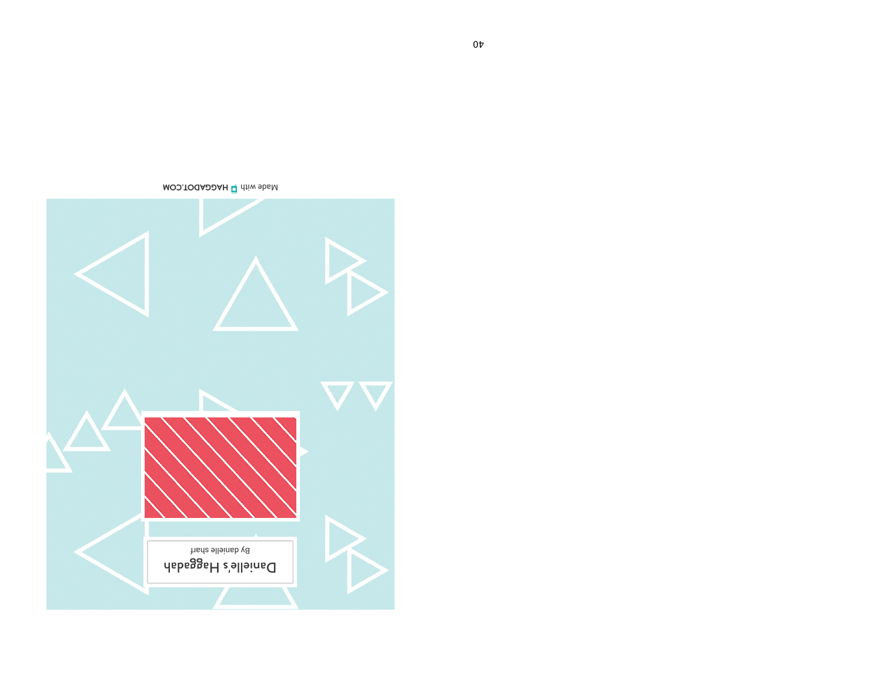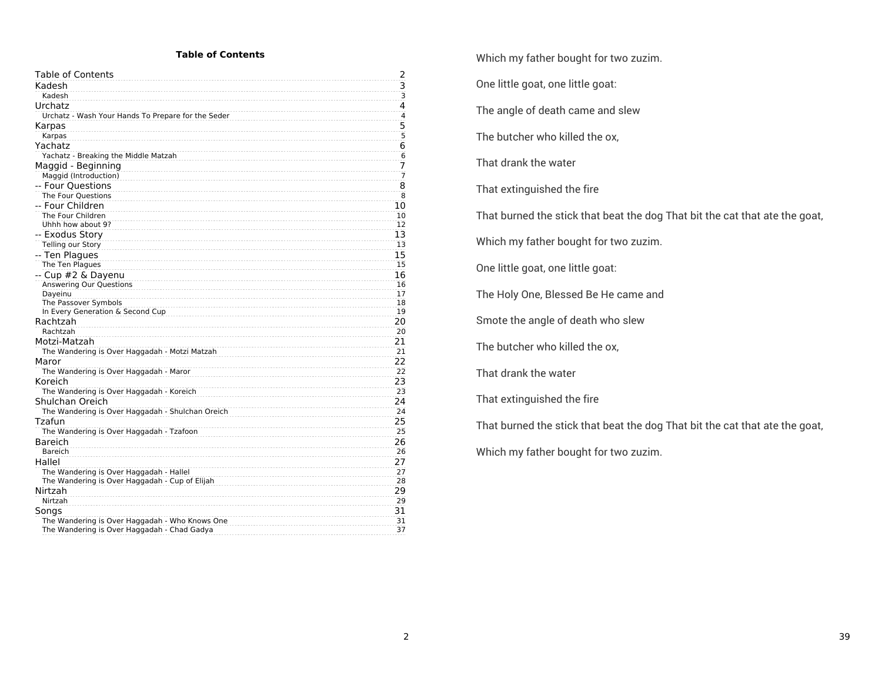#### **Table of Contents**

| Table of Contents                                  | 2              |
|----------------------------------------------------|----------------|
| Kadesh                                             | 3              |
| Kadesh                                             | $\overline{3}$ |
| Urchatz                                            | 4              |
| Urchatz - Wash Your Hands To Prepare for the Seder | $\overline{4}$ |
| Karpas                                             | 5              |
| Karpas                                             | $\overline{5}$ |
| Yachatz                                            | 6              |
| Yachatz - Breaking the Middle Matzah               | 6              |
| Maggid - Beginning                                 | 7              |
| Maggid (Introduction)                              | $\overline{7}$ |
| -- Four Ouestions                                  | 8              |
| The Four Questions                                 | 8              |
| -- Four Children                                   | 10             |
| The Four Children                                  | 10             |
| Uhhh how about 9?                                  | 12             |
| -- Exodus Story                                    | 13             |
| Telling our Story                                  | 13             |
| -- Ten Plagues                                     | 15             |
| The Ten Plagues                                    | 15             |
| -- Cup #2 & Dayenu                                 | 16             |
| Answering Our Questions                            | 16             |
| Dayeinu                                            | 17             |
| The Passover Symbols                               | 18             |
| In Every Generation & Second Cup                   | 19             |
| Rachtzah                                           | 20             |
| Rachtzah                                           | 20             |
| Motzi-Matzah                                       | 21             |
| The Wandering is Over Haggadah - Motzi Matzah      | 21             |
| Maror                                              | 22             |
| The Wandering is Over Haggadah - Maror             | 22             |
| Koreich                                            | 23             |
| The Wandering is Over Haggadah - Koreich           | 23             |
| Shulchan Oreich                                    | 24             |
| The Wandering is Over Haggadah - Shulchan Oreich   | 24             |
| Tzafun                                             | 25             |
| The Wandering is Over Haggadah - Tzafoon           | 25             |
| Bareich                                            | 26             |
| Bareich                                            | 26             |
| Hallel                                             | 27             |
| The Wandering is Over Haggadah - Hallel            | 27             |
| The Wandering is Over Haggadah - Cup of Elijah     | 28             |
| Nirtzah                                            | 29             |
| Nirtzah                                            | 29             |
| Songs                                              | 31             |
| The Wandering is Over Haggadah - Who Knows One     | 31             |
| The Wandering is Over Haggadah - Chad Gadya        | 37             |

Which my father bought for two zuzim.

One little goat, one little goat:

The angle of death came and slew

The butcher who killed the ox,

That drank the water

That extinguished the fire

That burned the stick that beat the dog That bit the cat that ate the goat,

Which my father bought for two zuzim.

One little goat, one little goat:

The Holy One, Blessed Be He came and

Smote the angle of death who slew

The butcher who killed the ox,

That drank the water

That extinguished the fire

That burned the stick that beat the dog That bit the cat that ate the goat,

Which my father bought for two zuzim.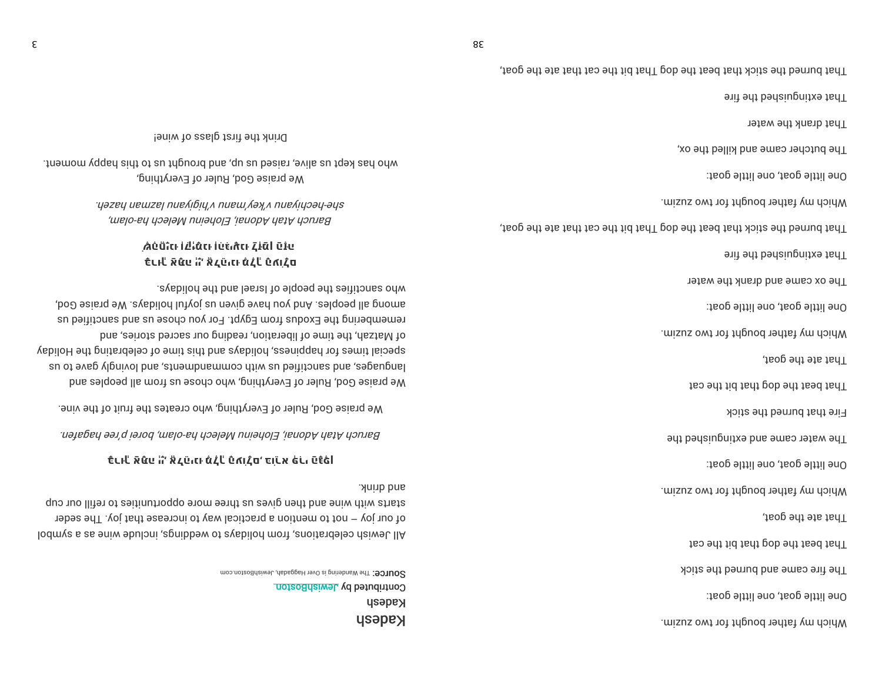which my father bought for two zuzim. One little goat, one little goat: The fire came and burned the stick That heat the dog that hid the cat , taop edt eta fah $\top$ which my father bought for two zuzim. One little goat, one little goat: The water came and extinguished the Fire that burned the stick That beat the dog that hid the cat , the goat,  $\frac{1}{2}$ Which my father bought for two zuzim. One little goat, one little goat: The ox came and drank the water extinguished the fire That burned the stick that beat the dog That bit the cat that ate the goat, .misus owt tather bought for two zuzim. One little goat, one little goat: The butcher came and killed the ox, That drank the water Fhat extinguishe the fire

That burned the stick that beat the dog That bit the cat that ate the goat,

**usapey kabab** Contributed by JewishBoston SOUTCE: The Wandering is Over Haggadah, JewishBoston.com

lodmys a sa eniw ebuloni , agnibbew of ayabilon morf, anoit arige alsiwel. IIA of our joy  $-$  not to mention a practical way to increase that joy. The seder starts with wine and then gives us three more opportunities to refill our cup . Anith brink

## **ןפֶ ָּגהַ ירִפְּ ארֵ ֹוּב** ,**ם ָל ֹועהָ ְך ֶלמֶ ּונ יהֵ ֹלאֱ** ,**ָיְיה ּתָאַ ְךּור ָּב**

Baruch Atah Adonai, Eloheinu Melech ha-olam, boroi ehri asi ah hat and a

We praise God, Ruler of Everything, who creates the fruit of the vine.

We praise God, Ruler of Everything, who chose us from all peoples and su ot evage ylo gior anith our general manga stars and house to us yabiloH edt bint ar belid ar bine syabilon, seemidded to ten election of elections yappy der as der cases in der seiren, we seing our secred stories, and remembering the Exodus from Egypt. For you chose us and sanctified us and all beobles. And you have given using the We praise God, who sanctifies the people of lsrael and the holidays.

# **ם ָל ֹועהָ ְך ֶלמֶ ּונ יהֵ ֹלאֱ** ,**ָיְיה ּתָאַ ְךּור ָּב ְיקִ ְוּונָיֱחהֶ ׁשֶ <sup>ה</sup> ֶּזהַ ןמַ ּ ְזַל ּונ ָע יִּגהִ ְוּונמָ ּ**

Baruch Atah Adonai, Eloheinu Melech ha-olam, uəzey uewzej nue libiya nuew yəya nue liyoəy- əys-

We praise God, Ruler of Everything, who has kept us alles as he may be conduct as the suppose in the sut-

Prink the first glass of wine!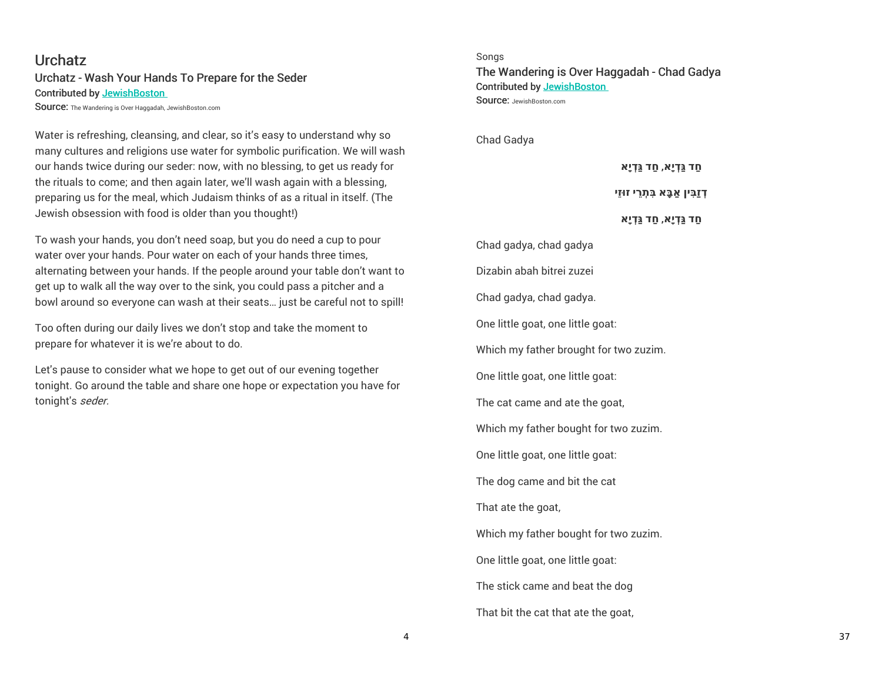# **Urchatz** Urchatz - Wash Your Hands To Prepare for the Seder Contributed by JewishBoston

Source: The Wandering is Over Haggadah, JewishBoston.com

Water is refreshing, cleansing, and clear, so it's easy to understand why so many cultures and religions use water for symbolic purification. We will wash our hands twice during our seder: now, with no blessing, to get us ready for the rituals to come; and then again later, we'll wash again with a blessing, preparing us for the meal, which Judaism thinks of as a ritual in itself. (The Jewish obsession with food is older than you thought!)

To wash your hands, you don't need soap, but you do need a cup to pour water over your hands. Pour water on each of your hands three times, alternating between your hands. If the people around your table don't want to get up to walk all the way over to the sink, you could pass a pitcher and a bowl around so everyone can wash at their seats… just be careful not to spill!

Too often during our daily lives we don't stop and take the moment to prepare for whatever it is we're about to do.

Let's pause to consider what we hope to get out of our evening together tonight. Go around the table and share one hope or expectation you have for tonight's seder.

Songs The Wandering is Over Haggadah - Chad Gadya Contributed by JewishBoston Source: JewishBoston.com

Chad Gadya

**חַד גַּ ְדיָא**, **חַד גַּ ְדיָא**

**ְדזַבִּין ַאבָּא בִּ ְת ֵרי זו ּזֵי**

**חַד גַּ ְדיָא**, **חַד גַּ ְדיָא**

Chad gadya, chad gadya Dizabin abah bitrei zuzei Chad gadya, chad gadya. One little goat, one little goat: Which my father brought for two zuzim. One little goat, one little goat: The cat came and ate the goat, Which my father bought for two zuzim. One little goat, one little goat: The dog came and bit the cat That ate the goat, Which my father bought for two zuzim. One little goat, one little goat: The stick came and beat the dog That bit the cat that ate the goat,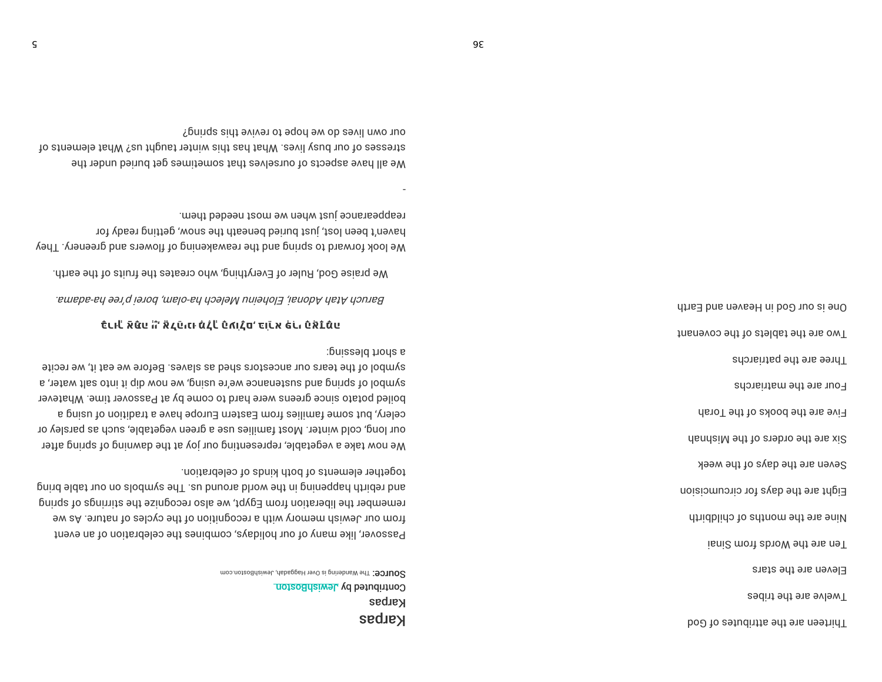SOUICE: The Wandering is Over Haggadah, JewishBoston.com Contributed by JewishBoston **Karpas** Karpas

together elements of both kinds of celebration. gnid eldst nuo no slodmys edT .eu bnuons bliow ent ni gninequal driiden bns remember the liberation from Egypt, we also recognize the stirrings of spring from our Jewish memory with a recognition of the cycles of nature. As we Passover, like many of our holidays, combines the celebration of an event

a spouse plessing: symbol of the tears our ancestors shed as slaves. Before we eat it, we recite symbol of spring and sustenance we're using, we now dip it into salt water, a boiled potato since greens were hard to come by at Passover time. Whatever celery, but some families from Eastern Europe have a tradition of using a our long, cold winter. Most families use a green vegetable, such as parsley or We now take a vegetable, representing our joy at the dawning of spring after

### כֿנוּلْ אَעֿני הֹ אْכְטֿונוּ מْدْلْ טْמוֹרָם כּוֹנוֹא פֹּנוּ טַאֲבֹמֿני

Baruch Atah Adonai, Eloheinu Melech ha-olam, borei p'ree ha-adama.

We praise God, Ruler of Everything, who creates the fruits of the earth.

reappearance just when we most needed them. haven't been lost, just buried beneath the snow, getting ready for We look forward to spring and the reawakening of flowers and greenery. They

our own lives do we hope to revive this spring? io etreses of our busy lives. What has thiw eintiver taught us? What elements of We all have aspects of ourselves that sometimes get buried under the

> Three are the patriarchs Four are the matriarchs Five are the books of the Torah Six are the orders of the Mishnah Seven are the days of the week Eight are the days for circumcision Atridblido to adtrom edt enildbirth isni2 mont abroW edt ens neT Eleven are the stars Twelve are the tribes Thirteen are the attributes of God

One is our God in Heaven and Earth

Two are the tablets of the covenant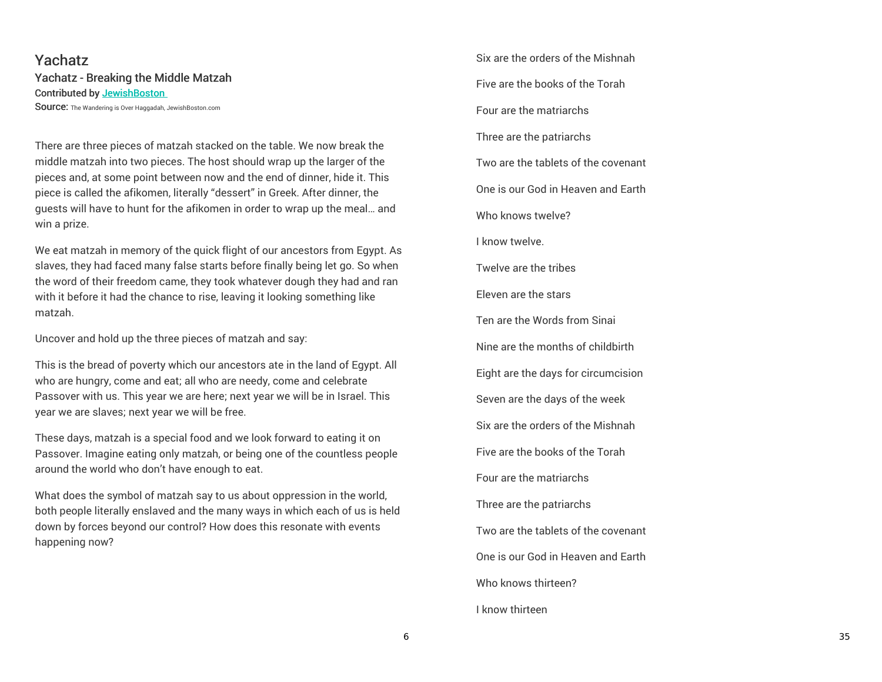# Yachatz Yachatz - Breaking the Middle Matzah Contributed by JewishBoston

Source: The Wandering is Over Haggadah, JewishBoston.com

There are three pieces of matzah stacked on the table. We now break the middle matzah into two pieces. The host should wrap up the larger of the pieces and, at some point between now and the end of dinner, hide it. This piece is called the afikomen, literally "dessert" in Greek. After dinner, the guests will have to hunt for the afikomen in order to wrap up the meal… and win a prize.

We eat matzah in memory of the quick flight of our ancestors from Egypt. As slaves, they had faced many false starts before finally being let go. So when the word of their freedom came, they took whatever dough they had and ran with it before it had the chance to rise, leaving it looking something like matzah.

Uncover and hold up the three pieces of matzah and say:

This is the bread of poverty which our ancestors ate in the land of Egypt. All who are hungry, come and eat; all who are needy, come and celebrate Passover with us. This year we are here; next year we will be in Israel. This year we are slaves; next year we will be free.

These days, matzah is a special food and we look forward to eating it on Passover. Imagine eating only matzah, or being one of the countless people around the world who don't have enough to eat.

What does the symbol of matzah say to us about oppression in the world, both people literally enslaved and the many ways in which each of us is held down by forces beyond our control? How does this resonate with events happening now?

Six are the orders of the Mishnah Five are the books of the Torah Four are the matriarchs Three are the patriarchs Two are the tablets of the covenant One is our God in Heaven and Earth Who knows twelve? I know twelve. Twelve are the tribes Eleven are the stars Ten are the Words from Sinai Nine are the months of childbirth Eight are the days for circumcision Seven are the days of the week Six are the orders of the Mishnah Five are the books of the Torah Four are the matriarchs Three are the patriarchs Two are the tablets of the covenant One is our God in Heaven and Earth Who knows thirteen? I know thirteen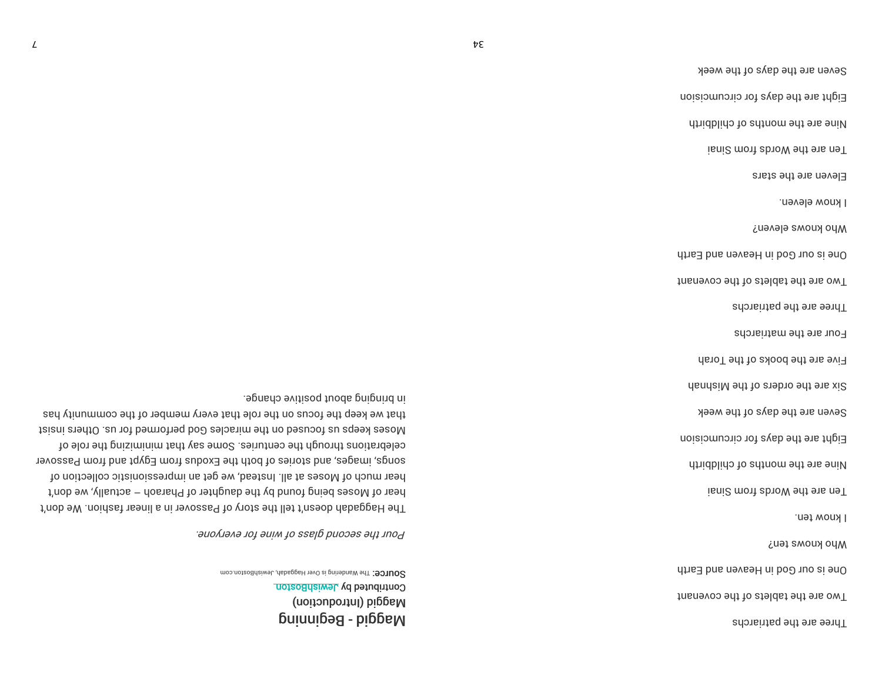Seven are the days of the week Eight are the days for circumcision Nine are the months of childbirth isni2 mont abroW ont ons noT I know ten. ono knows ten? One is our God in Heaven and Earth Two are the tablets of the covenant Three are the patriarchs

SOUICE: The Wandering is Over Haggadab, JewishBoston.com Contributed by JewishBoston (noitoubontnl) biggaM Maggid - Beginning

Pour the second glass of wine for everyone.

in bringing about positive change. that we keep the focus on the role that every member of the community has faiani a adto . au not bemotheq boo aslosnim ent no beausot au aques lost to sleptions through the centuries. Some say that minimizing the role of songs, images, and stories of both the Exodus from Egypt and from Passover hear much of Moses at all. Instead, we get an impressionistic collection of hear of Moses being found by the daughter of Pharaoh - actually, we don't The Haggadah doesn't tell the story of Passover in a linear fashion. We don't

Five are the books of the Torah

Six are the orders of the Mishnah

Three are the patriarchs

Four are the matriarchs

finsneyop entitio at the covenant

One is our God in Heaven and Earth

Mho knows eleven?

I know eleven.

Eleven are the stars

isni2 mont abroW ont ons noT

Nine are the months of childbirth

Eight are the days for circumcision

Seven are the days of the week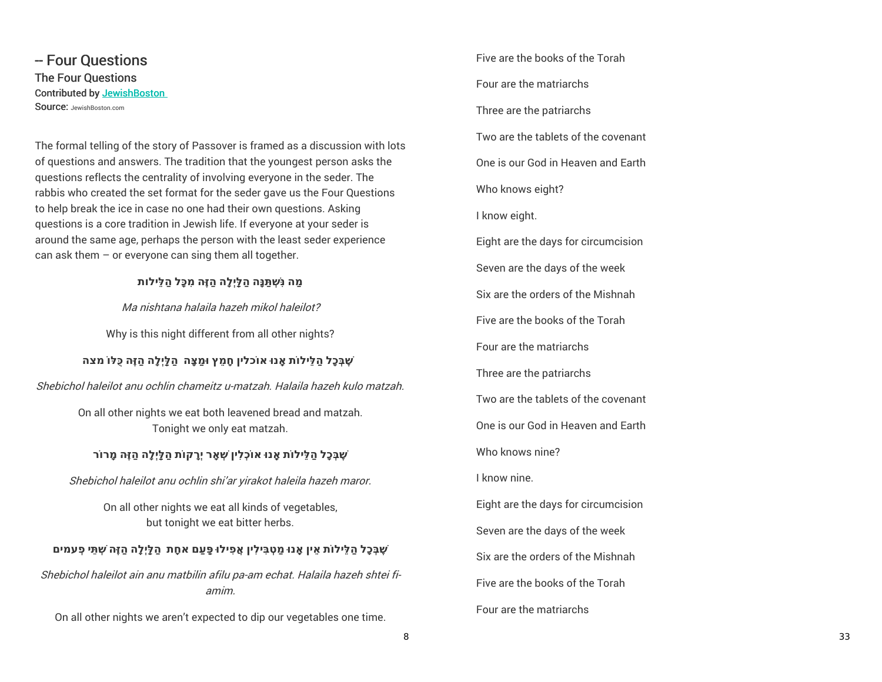-- Four Questions The Four Questions Contributed by JewishBoston SOUICE: JewishBoston.com

The formal telling of the story of Passover is framed as a discussion with lots of questions and answers. The tradition that the youngest person asks the questions reflects the centrality of involving everyone in the seder. The rabbis who created the set format for the seder gave us the Four Questions to help break the ice in case no one had their own questions. Asking questions is a core tradition in Jewish life. If everyone at your seder is around the same age, perhaps the person with the least seder experience can ask them – or everyone can sing them all together.

### **ַמה נִּ ְׁש ַתּנָּה ַהלַּֽיְלָה ַהזֶּה ִמכָּל ַהלֵּילות**

Ma nishtana halaila hazeh mikol haleilot?

Why is this night different from all other nights?

## **ֶׁשבְּכָל ַהלֵּיל ֹות ָֽאנו ּא ֹוכלין חָ ֵמץ ו ַּמצָּה ַהלַּֽיְלָה ַהזֶּה כֻּלּ ֹו מצה**

Shebichol haleilot anu ochlin chameitz u-matzah. Halaila hazeh kulo matzah.

On all other nights we eat both leavened bread and matzah. Tonight we only eat matzah.

## **ֶׁשבְּכָל ַהלֵּיל ֹות ָֽאנו ּא ֹוכְלִין ְׁש ָאר יְָרק ֹות ַהלַּֽיְלָה ַהזֶּה ָמר ֹור**

Shebichol haleilot anu ochlin shi'ar yirakot haleila hazeh maror.

On all other nights we eat all kinds of vegetables, but tonight we eat bitter herbs.

# ֹשֶׁבְּכָל הַלֵּילוֹת אֵין אֶנוּ מַטְבִּילִין אֱפִילוּ פַּעַם אחֶת הַלֵּיְלֵה הַזֶּה שְׁתֵּי פְעמים

Shebichol haleilot ain anu matbilin afilu pa-am echat. Halaila hazeh shtei fiamim.

On all other nights we aren't expected to dip our vegetables one time.

Five are the books of the Torah Four are the matriarchs Three are the patriarchs Two are the tablets of the covenant One is our God in Heaven and Earth Who knows eight? I know eight. Eight are the days for circumcision Seven are the days of the week Six are the orders of the Mishnah Five are the books of the Torah Four are the matriarchs Three are the patriarchs Two are the tablets of the covenant One is our God in Heaven and Earth Who knows nine? I know nine. Eight are the days for circumcision Seven are the days of the week Six are the orders of the Mishnah Five are the books of the Torah Four are the matriarchs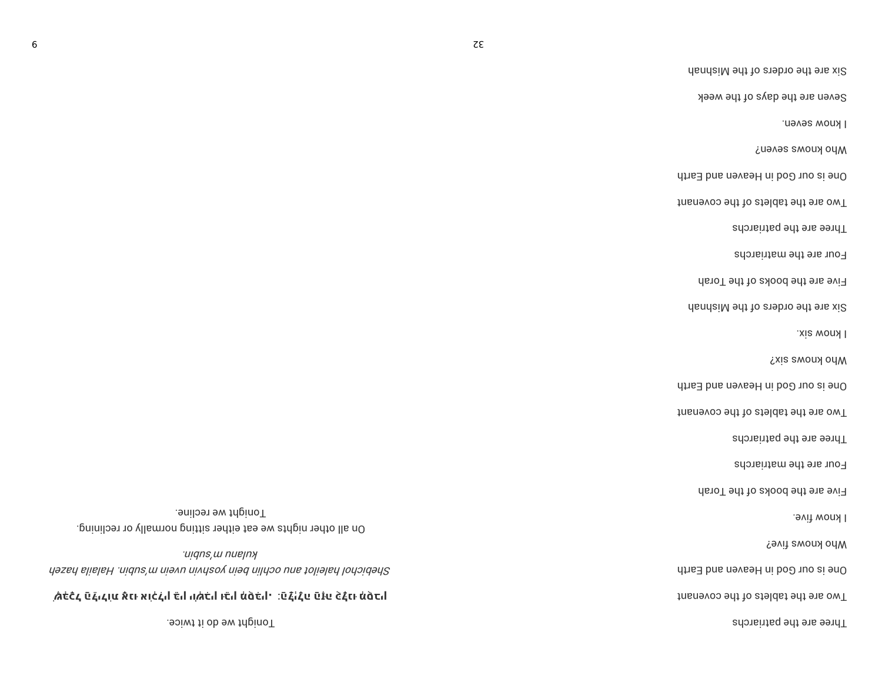|                                                                                                              | Seven are the days of the week      |
|--------------------------------------------------------------------------------------------------------------|-------------------------------------|
|                                                                                                              | I know seven.                       |
|                                                                                                              | Mho knows seven?                    |
|                                                                                                              | One is our God in Heaven and Earth  |
|                                                                                                              | Two are the tablets of the covenant |
|                                                                                                              | Three are the patriarchs            |
|                                                                                                              | Four are the matriarchs             |
|                                                                                                              | Five are the books of the Torah     |
|                                                                                                              | Six are the orders of the Mishnah   |
|                                                                                                              | I know six.                         |
|                                                                                                              | <b>Disk SWOUY OUM</b>               |
|                                                                                                              | One is our God in Heaven and Earth  |
|                                                                                                              | Two are the tablets of the covenant |
|                                                                                                              | Three are the patriarchs            |
|                                                                                                              | Four are the matriarchs             |
|                                                                                                              | Five are the books of the Torah     |
| Tonight we recline.<br>On all other nights we eat either sitting normally or reclining.                      | I know five.                        |
| uigns, w nuejny                                                                                              | <b>Mho knoms five?</b>              |
| Shebichol haleilot ann ochlin bein yoshvin uvein mäus Halaila hazeh                                          | One is our God in Heaven and Earth  |
| ֹשְׁבָּכָל הַלֵּילוֹת אָנוּ אוֹכְלִין בֵּין יוֹשְׁבִין וּבֵין מְסָבִּין. מֵלַיְלָה הַזָּה כָּלָנוּ מְסָבִין, | Two are the tablets of the covenant |
| Tonight we do it twice.                                                                                      | Three are the patriarchs            |

Six are the orders of the Mishnah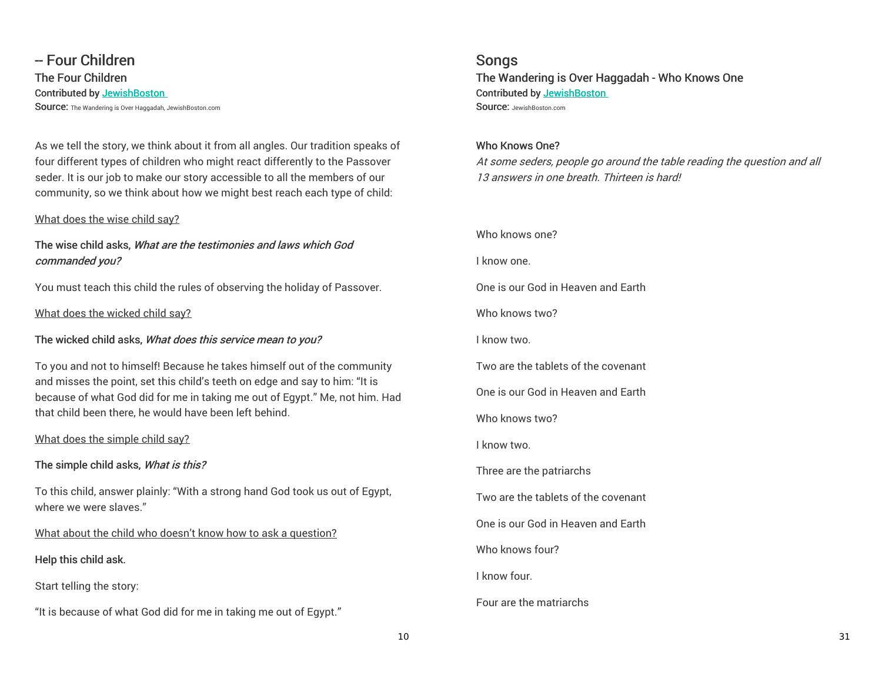-- Four Children The Four Children Contributed by JewishBoston Source: The Wandering is Over Haggadah, JewishBoston.com

As we tell the story, we think about it from all angles. Our tradition speaks of four different types of children who might react differently to the Passover seder. It is our job to make our story accessible to all the members of our community, so we think about how we might best reach each type of child:

#### What does the wise child say?

## The wise child asks, What are the testimonies and laws which God commanded you?

You must teach this child the rules of observing the holiday of Passover.

What does the wicked child say?

The wicked child asks, What does this service mean to you?

To you and not to himself! Because he takes himself out of the community and misses the point, set this child's teeth on edge and say to him: "It is because of what God did for me in taking me out of Egypt." Me, not him. Had that child been there, he would have been left behind.

What does the simple child say?

## The simple child asks, What is this?

To this child, answer plainly: "With a strong hand God took us out of Egypt, where we were slaves."

What about the child who doesn't know how to ask a question?

Help this child ask.

Start telling the story:

"It is because of what God did for me in taking me out of Egypt."

Songs The Wandering is Over Haggadah - Who Knows One Contributed by JewishBoston SOUICE: JewishBoston.com

Who Knows One? At some seders, people go around the table reading the question and all 13 answers in one breath. Thirteen is hard!

Who knows one? I know one. One is our God in Heaven and Earth Who knows two? I know two. Two are the tablets of the covenant One is our God in Heaven and Earth Who knows two? I know two. Three are the patriarchs Two are the tablets of the covenant One is our God in Heaven and Earth Who knows four? I know four. Four are the matriarchs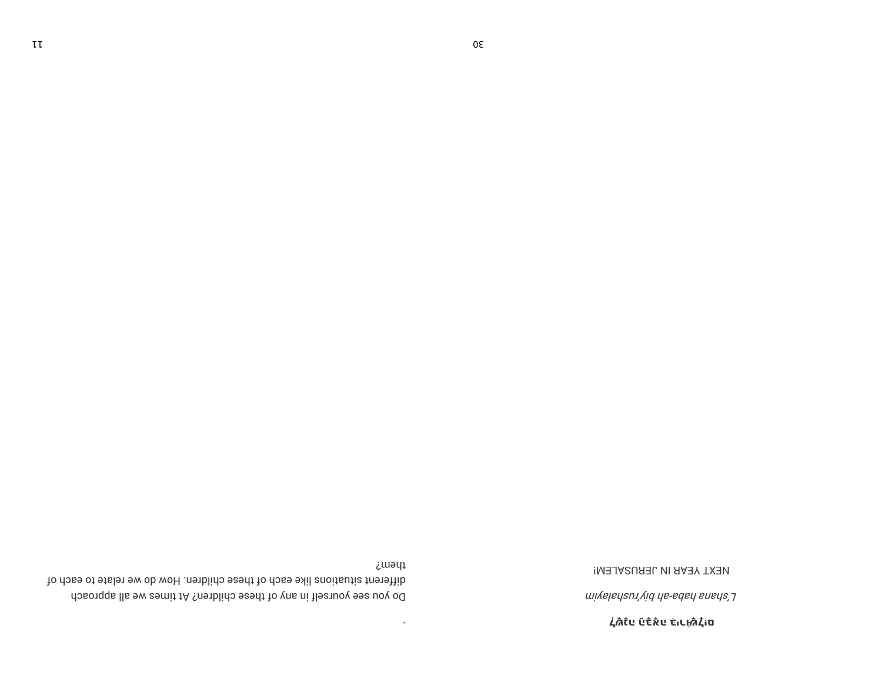**לֹשָׁנָה הַבְּאֶה לִיכוֹשְׁל**ָיִם

wiyalan'yid ha-adah anak'i

NEXT YEAR IN JERUSALEM!

them? different situations like each of these children. How do we relate to each of Do you see yourself in any of these children? At times we all approach

 $\sim$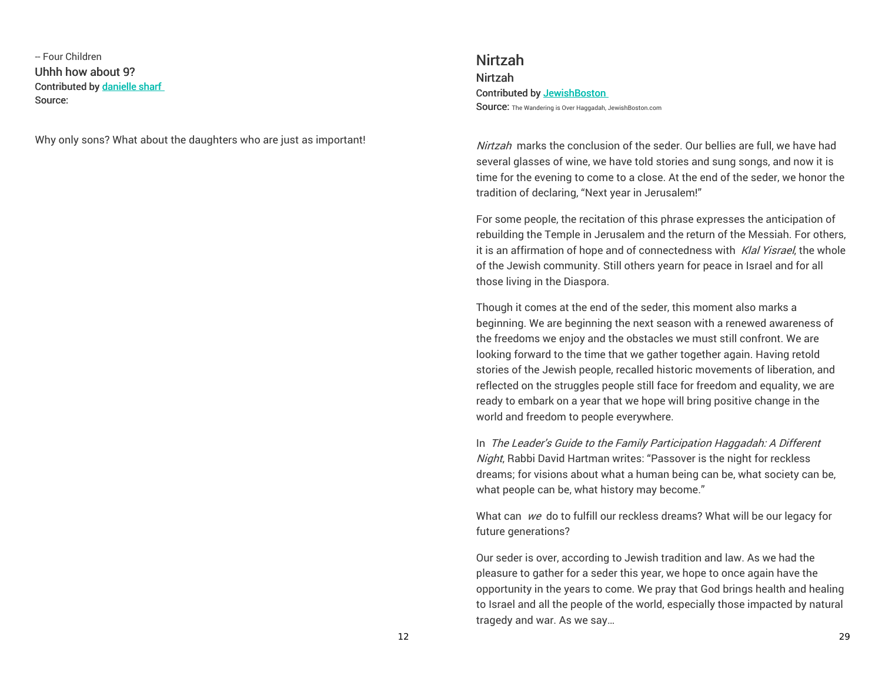-- Four Children Uhhh how about 9? Contributed by danielle sharf Source:

Why only sons? What about the daughters who are just as important!

Nirtzah Nirtzah Contributed by JewishBoston Source: The Wandering is Over Haggadah, JewishBoston.com

Nirtzah marks the conclusion of the seder. Our bellies are full, we have had several glasses of wine, we have told stories and sung songs, and now it is time for the evening to come to a close. At the end of the seder, we honor the tradition of declaring, "Next year in Jerusalem!"

For some people, the recitation of this phrase expresses the anticipation of rebuilding the Temple in Jerusalem and the return of the Messiah. For others, it is an affirmation of hope and of connectedness with Klal Yisrael, the whole of the Jewish community. Still others yearn for peace in Israel and for all those living in the Diaspora.

Though it comes at the end of the seder, this moment also marks a beginning. We are beginning the next season with a renewed awareness of the freedoms we enjoy and the obstacles we must still confront. We are looking forward to the time that we gather together again. Having retold stories of the Jewish people, recalled historic movements of liberation, and reflected on the struggles people still face for freedom and equality, we are ready to embark on a year that we hope will bring positive change in the world and freedom to people everywhere.

In The Leader's Guide to the Family Participation Haggadah: A Different Night, Rabbi David Hartman writes: "Passover is the night for reckless dreams; for visions about what a human being can be, what society can be, what people can be, what history may become."

What can we do to fulfill our reckless dreams? What will be our legacy for future generations?

Our seder is over, according to Jewish tradition and law. As we had the pleasure to gather for a seder this year, we hope to once again have the opportunity in the years to come. We pray that God brings health and healing to Israel and all the people of the world, especially those impacted by natural tragedy and war. As we say…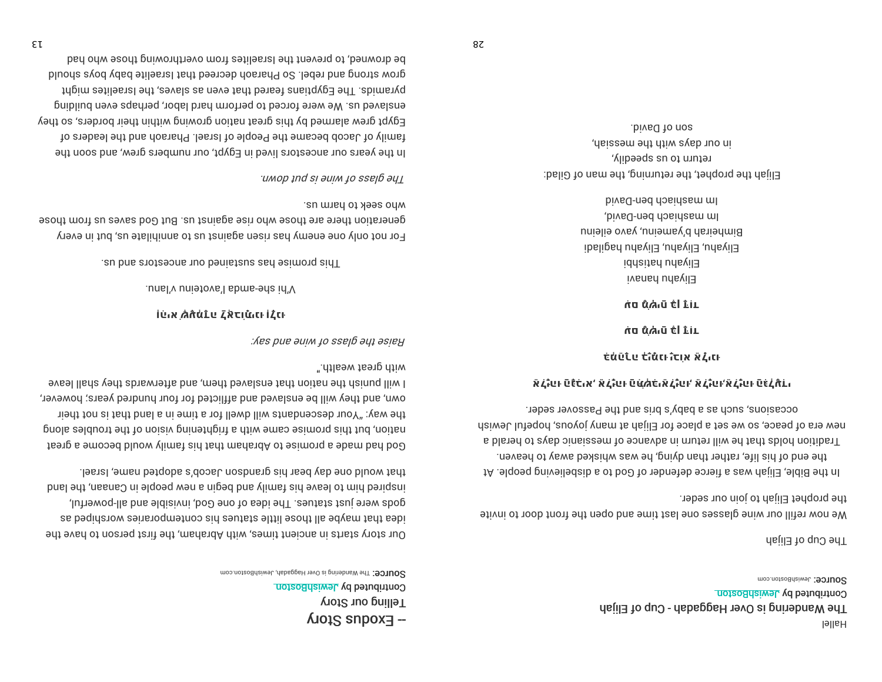**SOUICE: JewishBoston.com** Contributed by JewishBoston The Wandering is Over Haggadah - Cup of Elijah **J**əllaH

The Cup of Elijah

the prophet Elijah to join our seder. We now refill our wine glasses one last time and open the front door to invite

occasions, such as a baby's bris and the Passover seder. new era of peace, so we set a place for Elijah at many joyous, hopeful Jewish Tradition holds that he will return in advance of messianic days to herald a the end of his, rather than dying, he was whisked away to heaven. IA .alqoaq privailadaib a of boo to rabnatab aorait a asw daild .aldid adt nl

אֹבֹּגָׁטוּ טَלָּכֹוּא' אֹבֹגָטוּ טַמַּאֲכֹוּאַ בֹּגָטוּ' אֹבֹגָטוּ'אַבֹגָטוּ טַנּבֹתּבוּ

כּמֹטַנֹע כֹוֹמֹנוּ וֹכוא אֹ גֿונוּ

תֹּם מָֿא*וּ*יִם <del>כ</del>ּׂן דֵּוּד

תַּם מָאָיִם בָּן דָּוִד

hived-ned dosidesm ml Im mashiach ben-David, Bimheirah b'yameinu, yavo eileinu Eliyahu, Eliyahu, Eliyahu hagiladi Eliyahu hatishbi Eliyahu hanavi

son of David. in our days with the messiah, return to us sbeegily, Elijah the prophet, the returning, the man of Gilad:

SOUICE: The Wandering is Over Haggaab, JewishBoston.com Contributed by JewishBoston Telling our Story  $-$  Exoqna Story

that would one day bear his grandson Jacob's adopted name, Israel. longled bind and since have finite and the predge in side in Canaan, the land gods were just statues. The idea of one God, invisible and all-powerful, idea that mediation assistance interesting our entroporation worrshiped as 9 our story starts in ancient times, with Abraham, the first person to have the

". dilasu tealth." I will punish the nation that ensient them, and afterwards they shall leave own, and they will be enslaved and afflicted for four hundred years; however, the way: "Your descendants will dwell for a time in a land that is not their prola colduori entito noi eiv prineitipii a diiw emas esimong aidi iud noi ian fissing a smoosed bluow ylimst and fisth manda of samoriq a shem bad boome a great

Haise the gliave of wine and syst.

וֹהַא שְׁעָּדָה אָבוֹתָינוּ וְלָנוּ

.unsl'v unietovs'l sbms-eds id'V

This promise has sustained our ancestors and us.

vho seek to harm us. generation there are those who rise against us. But God saves us from those For not only one enemy has risen against us to annihilate us, but in every

uмop ınd sı әuıм ıo ssɐlp әy<u>ı</u>

bed odw seodt pniwondthevo mort estilseral sid theveng thead who had grow strong and rebel. So Pharaob decreed that lsraelite baby boys should pyramids. The Egyptians feared that even as slaves, the lsraelites might enslaved us. We were forced to perform hard labor, perhaps even building Egypt grew alarmed by this great nation growing within their borders, so they to extends of Jacob pecame the People of Israel. Pharaoh and the leaders of In the years our ancestors lived in Egypt, our numbers grew, and soon the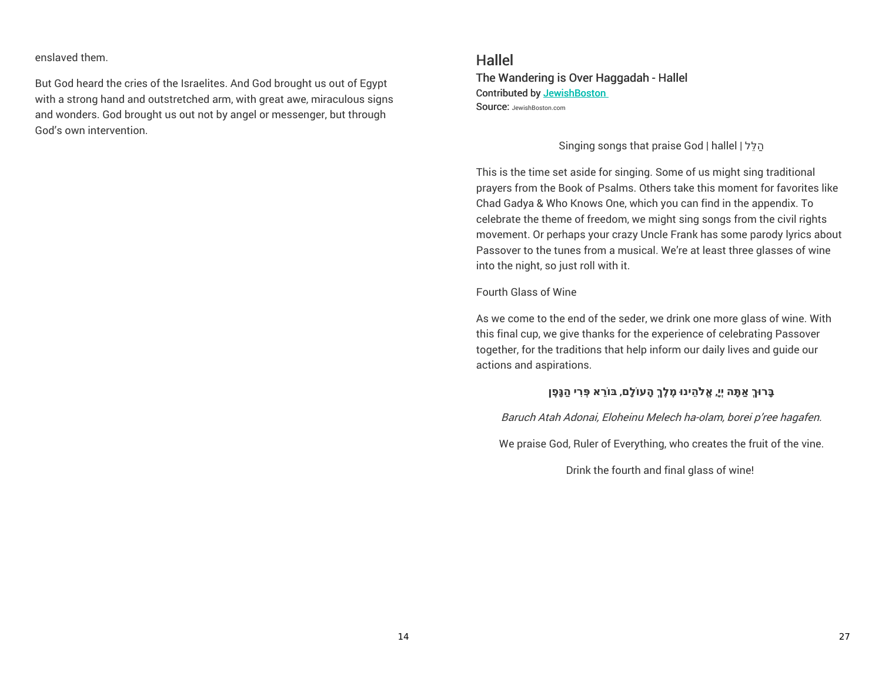enslaved them.

But God heard the cries of the Israelites. And God brought us out of Egypt with a strong hand and outstretched arm, with great awe, miraculous signs and wonders. God brought us out not by angel or messenger, but through God's own intervention.

# Hallel

The Wandering is Over Haggadah - Hallel Contributed by JewishBoston SOUICE: JewishBoston.com

Singing songs that praise God |hallel | לֵּהלַ

This is the time set aside for singing. Some of us might sing traditional prayers from the Book of Psalms. Others take this moment for favorites like Chad Gadya & Who Knows One, which you can find in the appendix. To celebrate the theme of freedom, we might sing songs from the civil rights movement. Or perhaps your crazy Uncle Frank has some parody lyrics about Passover to the tunes from a musical. We're at least three glasses of wine into the night, so just roll with it.

Fourth Glass of Wine

As we come to the end of the seder, we drink one more glass of wine. With this final cup, we give thanks for the experience of celebrating Passover together, for the traditions that help inform our daily lives and guide our actions and aspirations.

## **בָּרו ּךְ ַא ָתּה יְיָ**, **ֱא ֹל ֵהינו ּ ֶמלֶךְ ָהע ֹולָם**, **בּ ֹו ֵרא ְּפ ִרי ַהגָּ ֶפן**

Baruch Atah Adonai, Eloheinu Melech ha-olam, borei p'ree hagafen.

We praise God, Ruler of Everything, who creates the fruit of the vine.

Drink the fourth and final glass of wine!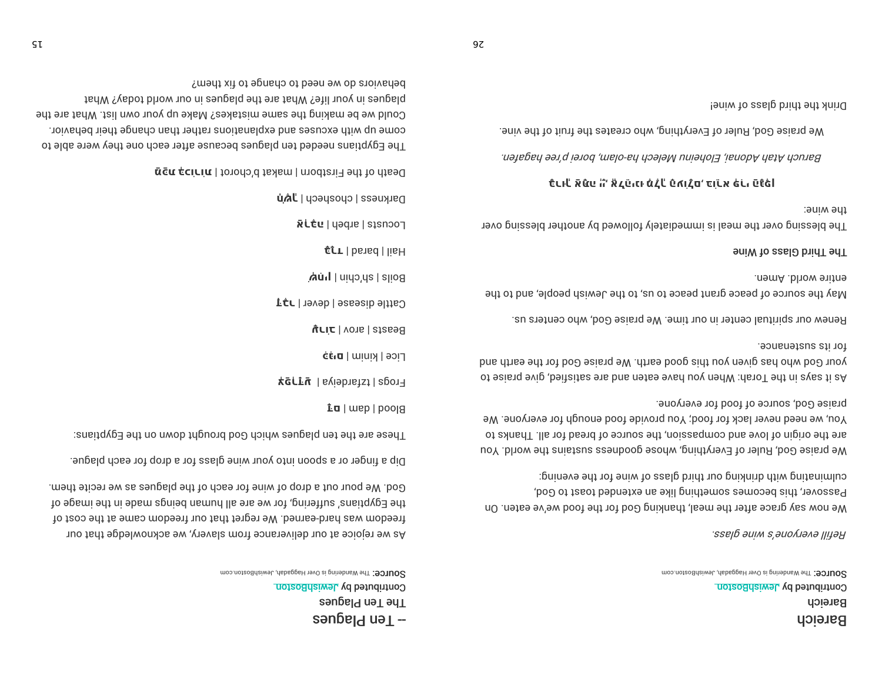SOUICE: The Wandering is Over Haggadab, JewishBoston.com Contributed by JewishBoston Bareich Bareich

ssɐlp эиїм ѕ,әио⁄иәлә լլյյәӈ

culminating with drinking our third glass of wine for the evening: Passover, this becomes something like an extended toast to God, We now say grace after the meal, thanking God bri the food we've eaten. On

praise God, source of food for everyone. You, we need never lack for food; You provide food enough for everyone. We or a high of love and compassion, the source of bread for all. Thanks to We praise God, Ruler of Everything, whose goodness sustains the world. You

for its sustenance. your God who has given you this good earth. We praise God for the earth and of says in the Torah: When you have eaten and are satisfied, give praise to

Renew our spiritual center in our time. We praise God, who centers us.

entire world. Amen. May the source of peace grant peace to us, to the Jewish people, and to the

#### **Jhird Glass of Wine**

the wine: The blessing over the meal is immediately followed by another blessing over

### כֿנו-لْ אَעْנִי הْ' אْدِتْ،دו מْدْلْ פֿאונָם' כּוִכֹא כּנֹו פֿנْכּו

Baruch Atah Adonai, Eloheinu Melech ha-olam, borei p'ree hagafen.

We praise God, Ruler of Everything, who creates the fruit of the vine.

Drink the third glass of wine!

SOUICE: The Wandering is Over Haggaab, JewishBoston.com Contributed by JewishBoston 7he Ten Plagues  $\mathsf{supp}_{\mathsf{Id}}$  uə $\mathsf{Id}$  –

God. We pour out a drop of wine for each of the plagues as we recite them. the Egyptians' suffering, for we are all human beings made in the image of freedom was hard-earned. We regret that our freedom came at the cost of As we rejoice at our deliverance from slavery, we acknowledge that our

Dip a finger or a spoon into your wine glass for a drop for each plague.

These are the ten plagues which God brought down on the Egyptians:

 $i$ **a** | wep | poolg

**Frogs** | tzfardeiya | **urgiy** 

Lice | minix | api\_

**UCIC** | vons | stase98

Cattle disease | dever | J $\sharp$ 

**Au<sub>'</sub>** | nido'da | alio8

 $\#$ r | barad | lisH

הcorate | gupeµ | at**c**tu

parkness | cpospecp | **Jiáu** 

**geath of the Firstborn | makat b'chord | niniza nag** 

pehaviors do we need to change to fix them? plagues in your life? What are the plagues in our world today? What Gould we be making the same mistakes? Make up your own list. What are the come up with excuses and explanations rather than change their behavior. The Egyptians needed ten plagues because after each one they were able to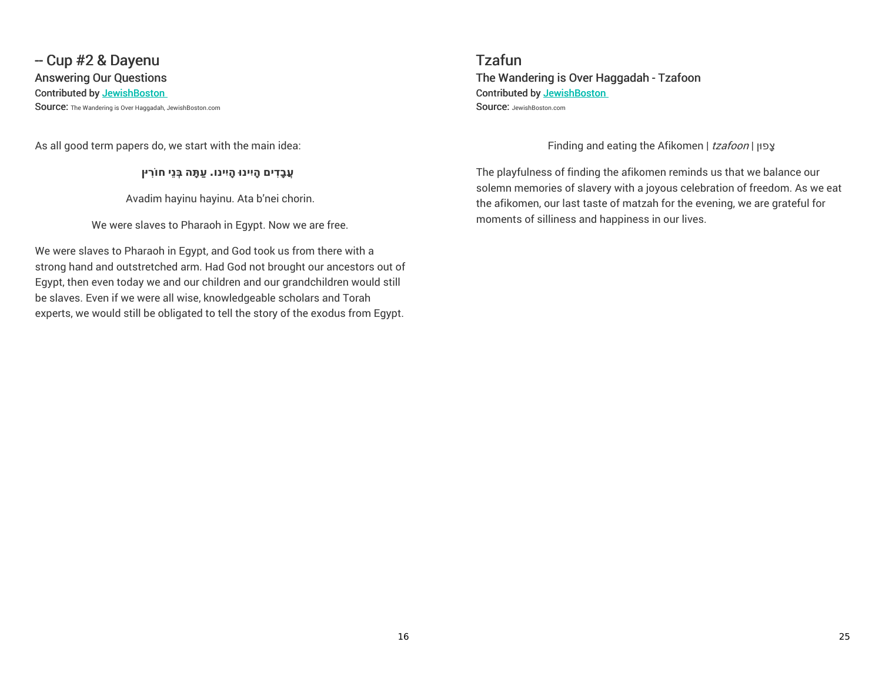# - Cup #2 & Dayenu Answering Our Questions

#### Contributed by JewishBoston

Source: The Wandering is Over Haggadah, JewishBoston.com

As all good term papers do, we start with the main idea:

**ֲעבָ ִדים ָהיִינו ָּהיִינו. ַע ָתּה בְּנֵי ח ֹו ִריןּ**

Avadim hayinu hayinu. Ata b'nei chorin.

We were slaves to Pharaoh in Egypt. Now we are free.

We were slaves to Pharaoh in Egypt, and God took us from there with a strong hand and outstretched arm. Had God not brought our ancestors out of Egypt, then even today we and our children and our grandchildren would still be slaves. Even if we were all wise, knowledgeable scholars and Torah experts, we would still be obligated to tell the story of the exodus from Egypt.

Tzafun The Wandering is Over Haggadah - Tzafoon Contributed by JewishBoston SOUICE: JewishBoston.com

Finding and eating the Afikomen | tzafoon | צפון

The playfulness of finding the afikomen reminds us that we balance our solemn memories of slavery with a joyous celebration of freedom. As we eat the afikomen, our last taste of matzah for the evening, we are grateful for moments of silliness and happiness in our lives.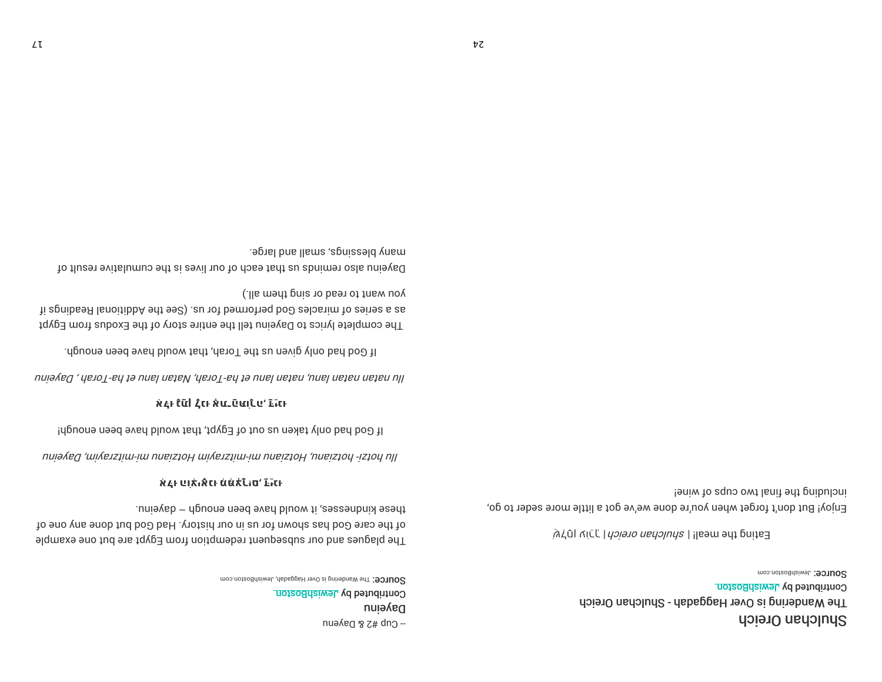SOUICE: The Wandering is Over Haggadah, JewishBoston.com Contributed by JewishBoston Dayeinu - Cup #2 & Dayenu

these kindnesses, it would have been enough - dayeinu. of the care God has shown for us in our history. Had God but done any one of The plagues and our subsequent redemption from Egypt are but one example

## אֹבְוּ פוֹלוּאֿנוּ מֹמֹּלֹּנוֹם<sup>י</sup> בֿוֹנוּ

mujaked ,mitch Hotzian, mitch Hotzian Hotzian mi-mitzranin, Dayeriu

If God had only taken us out of Egypt, that would have been enough!

## **אֹבְוּ לֹּנֹנוֹ לְכוּ אֶׁנֵ בַּנּעוֹרָני** בּוּנוּ

muiə/ed , denoT-sn tə unal natav, dərəbi yana mala nə bayan yayan yayanı

If God had only given us the Torah, that would have been enough.

you want to read or sing them all.) ii agnibseR lanoitibbA edt esc) .au 101 bemiotieq boO aelosiim to aeirea a as The complete lyrics to Dayeinu tell the entire story of the Exodus from Egypt

aphal bns llama aphiazeld ynam Dayeinu also reminds us that each of our lives is the cumulative result of

> Contributed by JewishBoston The Wandering is Over Haggadah - Shulchan Oreich Shulchan Oreich

**SOUICE: JewishBoston.com** 

a di vicr, I *hoieno nanoluna | llasm* edi prise

ieniw to aquo owt lanit edt pribuloni Enjoy! But don't forget when you're done we've got a little more seder to go,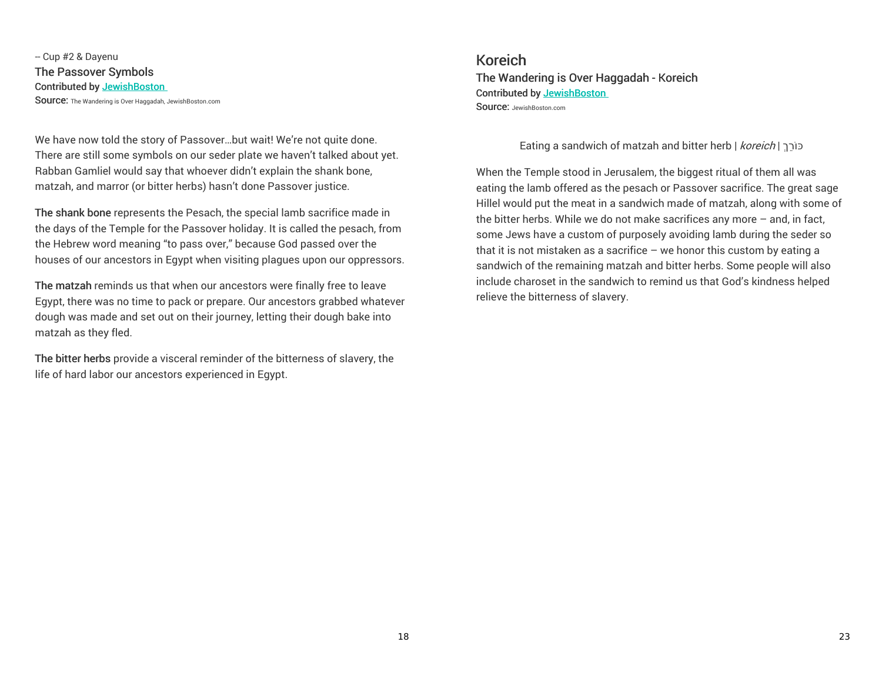-- Cup #2 & Dayenu The Passover Symbols Contributed by JewishBoston Source: The Wandering is Over Haggadah, JewishBoston.com

We have now told the story of Passover…but wait! We're not quite done. There are still some symbols on our seder plate we haven't talked about yet. Rabban Gamliel would say that whoever didn't explain the shank bone, matzah, and marror (or bitter herbs) hasn't done Passover justice.

The shank bone represents the Pesach, the special lamb sacrifice made in the days of the Temple for the Passover holiday. It is called the pesach, from the Hebrew word meaning "to pass over," because God passed over the houses of our ancestors in Egypt when visiting plagues upon our oppressors.

The matzah reminds us that when our ancestors were finally free to leave Egypt, there was no time to pack or prepare. Our ancestors grabbed whatever dough was made and set out on their journey, letting their dough bake into matzah as they fled.

The bitter herbs provide a visceral reminder of the bitterness of slavery, the life of hard labor our ancestors experienced in Egypt.

Koreich The Wandering is Over Haggadah - Koreich Contributed by JewishBoston SOUICE: JewishBoston.com

Eating a sandwich of matzah and bitter herb | *koreich* | כוֹרֵךְ

When the Temple stood in Jerusalem, the biggest ritual of them all was eating the lamb offered as the pesach or Passover sacrifice. The great sage Hillel would put the meat in a sandwich made of matzah, along with some of the bitter herbs. While we do not make sacrifices any more – and, in fact, some Jews have a custom of purposely avoiding lamb during the seder so that it is not mistaken as a sacrifice – we honor this custom by eating a sandwich of the remaining matzah and bitter herbs. Some people will also include charoset in the sandwich to remind us that God's kindness helped relieve the bitterness of slavery.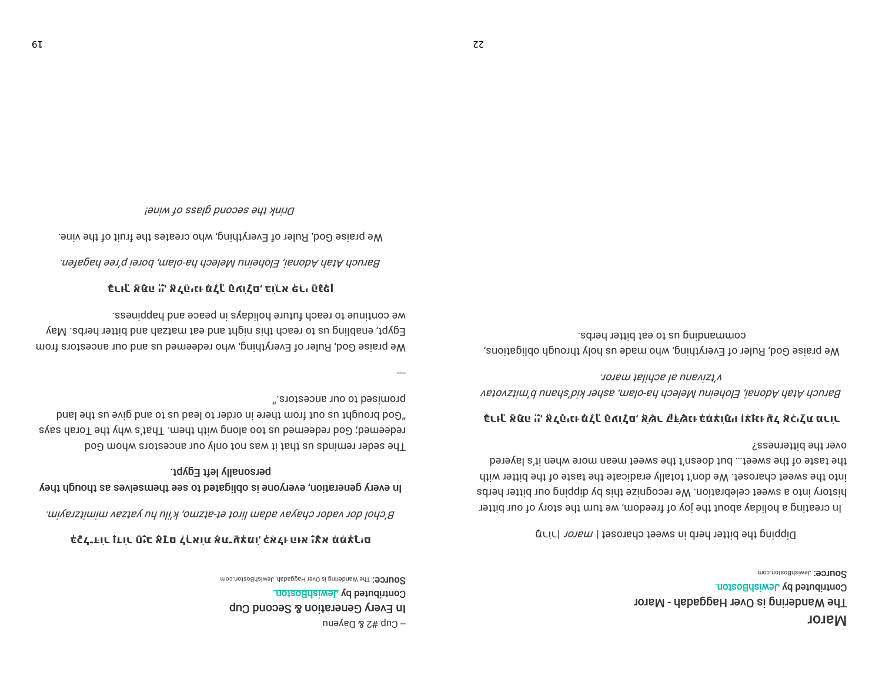SOUICE: The Wandering is Over Haggadab, JewishBoston.com Contributed by JewishBoston In Every Generation & Second Cup - Cup #2 & Dayenu

## לכל בור נדור חַיָּב אָדַם לְרָאוֹת אֶת־עַאָל הָאָלוּ הוא יָגָא מִמַּלְרוּם

в срој дог изред следел вида (на 61-аргш) клји ра детел шилц $z$ ни тилде

# personally left Egypt. In every generation, everyone is obligated to see themselves as though they

". enotes to our ancestors." "God brought us out from there in order to lead us to and give us the land redeemed; God redeemed us too along with then. That's why the Torah says The seder reminds us that it was not only our ancestors whom God

we continue to reach future holidays in peace and happiness. Egypt, enabling us to reach this night and eat matzah and bitter herbs. May We praise God, Ruler of Everything, who redeemed us and our ancestors from

## כֿנוּلْ אَמֿני ה' אֶבְטַּוּנוּ מֹבְל פֿרוּבָם בּוֹנַא כּנוּ פֿנֿכּוֹ

Baruch Atah Adonai, Eloheinu Melech ha-olam, borei p'ree hagafen.

We praise God, Ruler of Everything, who creates the fruit of the vine.

שוואן גוויט auim גון puim yo ssɐlp

**SOUICE: JewishBoston.com** Contributed by JewishBoston The Wandering is Over Haggadah - Maror **Naror** 

Dipping the bitter herb in sweet charoset | maror | ning

over the bitterness? the taste of the sweet... but doesn't the sweet mean more when it's layered into the sweet charoset. We don't totally eradicate the taste of the bittin with history into a sweet celebration. We recognize this by dipping our bitter herbs In creating a holiday about the joy of freedom, we turn the story of our bitter

## כֿנו-" אַפֿני הו אֶבְנֿינו מֹבְ" נֹאוֹבָם אֶאֶר בּוּבֹאֲנוּ כֹּמֹלוֹמַיו וֹלוֹנוּ הַבְ אֶכֹּוּבָע מַכוֹנ

v'tzivanu al achilat maror. Baruch Afah Adonai, Eloheinu Melech ha-olam, asher kid'shanu b'mitzvotav

commanding us to eat bitter herbs. We praise God, Ruler of Everything, who made us holy through obligations,